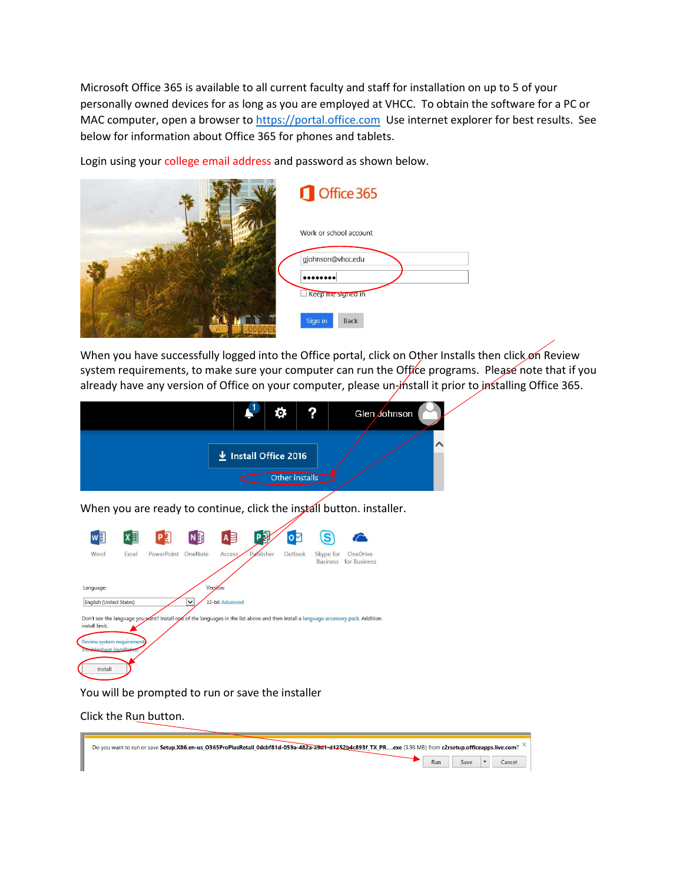Microsoft Office 365 is available to all current faculty and staff for installation on up to 5 of your personally owned devices for as long as you are employed at VHCC. To obtain the software for a PC or MAC computer, open a browser to https://portal.office.com Use internet explorer for best results. See below for information about Office 365 for phones and tablets.

Login using your college email address and password as shown below.

|                 | Office 365             |
|-----------------|------------------------|
|                 | Work or school account |
|                 | gjohnson@vhcc.edu      |
|                 | Keep me signed in      |
| <b>WARD AND</b> | Sign in<br><b>Back</b> |

When you have successfully logged into the Office portal, click on Other Installs then click on Review system requirements, to make sure your computer can run the Office programs. Please note that if you already have any version of Office on your computer, please un-install it prior to installing Office 365.



When you are ready to continue, click the install button. installer.

| w≣                                                                              | $x \equiv$ | P∃         | N ∃         | A               | РŽ        | $\bullet$ |                              |                                                                                                                                       |
|---------------------------------------------------------------------------------|------------|------------|-------------|-----------------|-----------|-----------|------------------------------|---------------------------------------------------------------------------------------------------------------------------------------|
| Word                                                                            | Excel      | PowerPoint | OneNote     | Access          | Publisher | Outlook   | Skype for<br><b>Business</b> | OneDrive<br>for Business                                                                                                              |
| Language:                                                                       |            |            |             | Version:        |           |           |                              |                                                                                                                                       |
| English (United States)                                                         |            |            | $\check{ }$ | 32-bit Advanced |           |           |                              |                                                                                                                                       |
| install limit.<br>Review system requirements<br><b>Toubleshoot</b> installation |            |            |             |                 |           |           |                              | Don't see the language you yant? Install ope of the languages in the list above and then install a language accessory pack. Additiona |
| Install                                                                         |            |            |             |                 |           |           |                              |                                                                                                                                       |

You will be prompted to run or save the installer

Click the Run button.